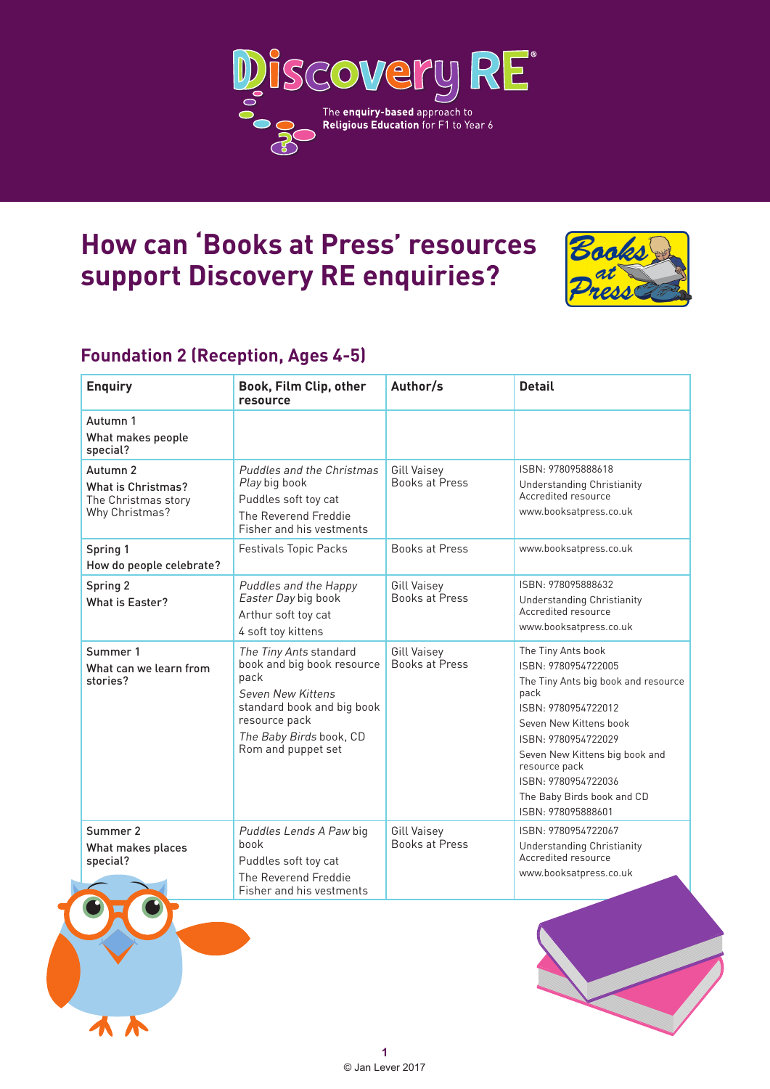

# **How can 'Books at Press' resources support Discovery RE enquiries?**



### **Foundation 2 (Reception, Ages 4-5)**

| <b>Enquiry</b>                                                          | Book, Film Clip, other<br>resource                                                                                                                                                | Author/s                                    | <b>Detail</b>                                                                                                                                                                                                                                                                                  |
|-------------------------------------------------------------------------|-----------------------------------------------------------------------------------------------------------------------------------------------------------------------------------|---------------------------------------------|------------------------------------------------------------------------------------------------------------------------------------------------------------------------------------------------------------------------------------------------------------------------------------------------|
| Autumn 1<br>What makes people<br>special?                               |                                                                                                                                                                                   |                                             |                                                                                                                                                                                                                                                                                                |
| Autumn 2<br>What is Christmas?<br>The Christmas story<br>Why Christmas? | <b>Puddles and the Christmas</b><br>Play big book<br>Puddles soft toy cat<br>The Reverend Freddie<br>Fisher and his vestments                                                     | <b>Gill Vaisey</b><br><b>Books at Press</b> | ISBN: 978095888618<br>Understanding Christianity<br>Accredited resource<br>www.booksatpress.co.uk                                                                                                                                                                                              |
| Spring 1<br>How do people celebrate?                                    | <b>Festivals Topic Packs</b>                                                                                                                                                      | <b>Books at Press</b>                       | www.booksatpress.co.uk                                                                                                                                                                                                                                                                         |
| Spring 2<br>What is Easter?                                             | Puddles and the Happy<br>Easter Day big book<br>Arthur soft toy cat<br>4 soft toy kittens                                                                                         | Gill Vaisey<br><b>Books at Press</b>        | ISBN: 978095888632<br>Understanding Christianity<br>Accredited resource<br>www.booksatpress.co.uk                                                                                                                                                                                              |
| Summer 1<br>What can we learn from<br>stories?                          | The Tiny Ants standard<br>book and big book resource<br>pack<br>Seven New Kittens<br>standard book and big book<br>resource pack<br>The Baby Birds book, CD<br>Rom and puppet set | <b>Gill Vaisey</b><br><b>Books at Press</b> | The Tiny Ants book<br>ISBN: 9780954722005<br>The Tiny Ants big book and resource<br>pack<br>ISBN: 9780954722012<br>Seven New Kittens book<br>ISBN: 9780954722029<br>Seven New Kittens big book and<br>resource pack<br>ISBN: 9780954722036<br>The Baby Birds book and CD<br>ISBN: 978095888601 |
| Summer 2<br>What makes places<br>special?                               | Puddles Lends A Paw big<br>book<br>Puddles soft toy cat<br>The Reverend Freddie<br>Fisher and his vestments                                                                       | <b>Gill Vaisey</b><br><b>Books at Press</b> | ISBN: 9780954722067<br><b>Understanding Christianity</b><br>Accredited resource<br>www.booksatpress.co.uk                                                                                                                                                                                      |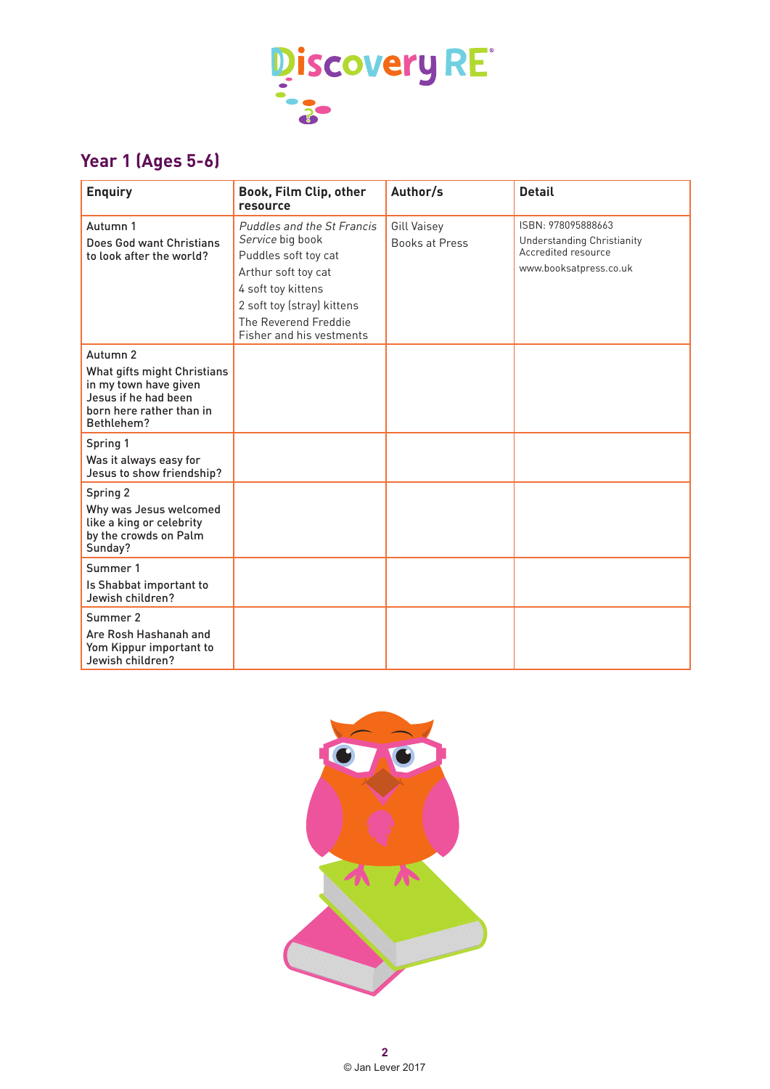

## **Year 1 (Ages 5-6)**

| <b>Enquiry</b>                                                                                                                     | Book, Film Clip, other<br>resource                                                                                                                                                                    | Author/s                             | <b>Detail</b>                                                                                     |
|------------------------------------------------------------------------------------------------------------------------------------|-------------------------------------------------------------------------------------------------------------------------------------------------------------------------------------------------------|--------------------------------------|---------------------------------------------------------------------------------------------------|
| Autumn 1<br>Does God want Christians<br>to look after the world?                                                                   | Puddles and the St Francis<br>Service big book<br>Puddles soft toy cat<br>Arthur soft toy cat<br>4 soft toy kittens<br>2 soft toy (stray) kittens<br>The Reverend Freddie<br>Fisher and his vestments | Gill Vaisey<br><b>Books at Press</b> | ISBN: 978095888663<br>Understanding Christianity<br>Accredited resource<br>www.booksatpress.co.uk |
| Autumn 2<br>What gifts might Christians<br>in my town have given<br>Jesus if he had been<br>born here rather than in<br>Bethlehem? |                                                                                                                                                                                                       |                                      |                                                                                                   |
| Spring 1<br>Was it always easy for<br>Jesus to show friendship?                                                                    |                                                                                                                                                                                                       |                                      |                                                                                                   |
| Spring 2<br>Why was Jesus welcomed<br>like a king or celebrity<br>by the crowds on Palm<br>Sunday?                                 |                                                                                                                                                                                                       |                                      |                                                                                                   |
| Summer 1<br>Is Shabbat important to<br>Jewish children?                                                                            |                                                                                                                                                                                                       |                                      |                                                                                                   |
| Summer 2<br>Are Rosh Hashanah and<br>Yom Kippur important to<br>Jewish children?                                                   |                                                                                                                                                                                                       |                                      |                                                                                                   |